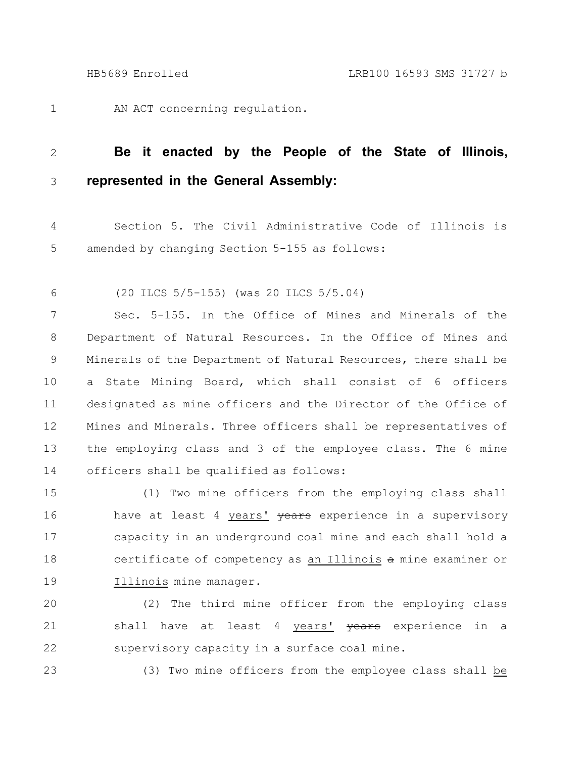AN ACT concerning regulation. 1

## **Be it enacted by the People of the State of Illinois, represented in the General Assembly:** 2 3

Section 5. The Civil Administrative Code of Illinois is amended by changing Section 5-155 as follows: 4 5

(20 ILCS 5/5-155) (was 20 ILCS 5/5.04) 6

Sec. 5-155. In the Office of Mines and Minerals of the Department of Natural Resources. In the Office of Mines and Minerals of the Department of Natural Resources, there shall be a State Mining Board, which shall consist of 6 officers designated as mine officers and the Director of the Office of Mines and Minerals. Three officers shall be representatives of the employing class and 3 of the employee class. The 6 mine officers shall be qualified as follows: 7 8 9 10 11 12 13 14

(1) Two mine officers from the employing class shall have at least 4 years' years experience in a supervisory capacity in an underground coal mine and each shall hold a certificate of competency as an Illinois a mine examiner or Illinois mine manager. 15 16 17 18 19

(2) The third mine officer from the employing class shall have at least 4 years' years experience in a supervisory capacity in a surface coal mine. 20 21 22

23

(3) Two mine officers from the employee class shall be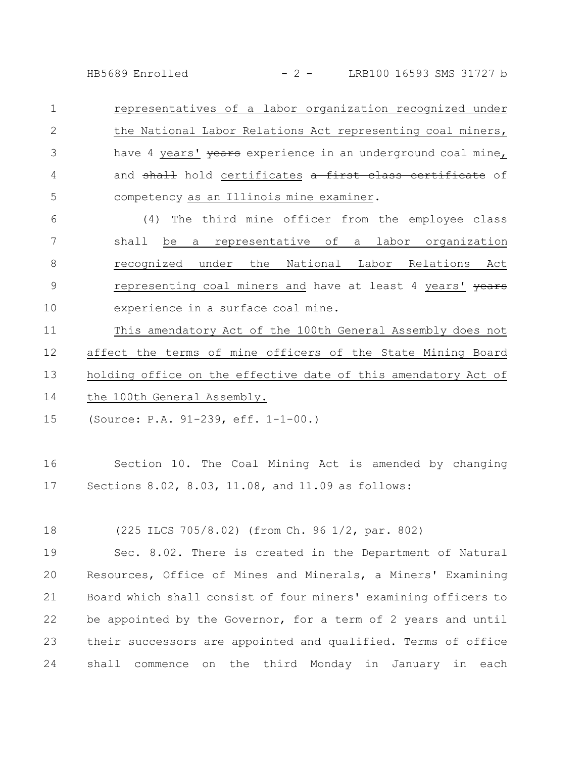HB5689 Enrolled - 2 - LRB100 16593 SMS 31727 b

representatives of a labor organization recognized under the National Labor Relations Act representing coal miners, have 4 years' years experience in an underground coal mine, and shall hold certificates a first class certificate of competency as an Illinois mine examiner. 1 2 3 4 5

(4) The third mine officer from the employee class shall be a representative of a labor organization recognized under the National Labor Relations Act representing coal miners and have at least 4 years' vears experience in a surface coal mine. 6 7 8 9 10

This amendatory Act of the 100th General Assembly does not affect the terms of mine officers of the State Mining Board holding office on the effective date of this amendatory Act of the 100th General Assembly. 11 12 13 14

(Source: P.A. 91-239, eff. 1-1-00.) 15

Section 10. The Coal Mining Act is amended by changing Sections 8.02, 8.03, 11.08, and 11.09 as follows: 16 17

(225 ILCS 705/8.02) (from Ch. 96 1/2, par. 802) 18

Sec. 8.02. There is created in the Department of Natural Resources, Office of Mines and Minerals, a Miners' Examining Board which shall consist of four miners' examining officers to be appointed by the Governor, for a term of 2 years and until their successors are appointed and qualified. Terms of office shall commence on the third Monday in January in each 19 20 21 22 23 24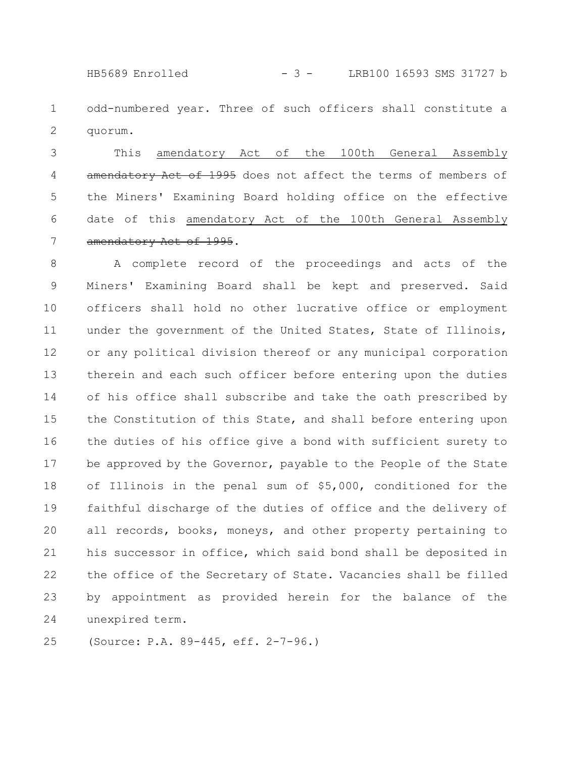HB5689 Enrolled - 3 - LRB100 16593 SMS 31727 b

odd-numbered year. Three of such officers shall constitute a quorum. 1 2

This amendatory Act of the 100th General Assembly amendatory Act of 1995 does not affect the terms of members of the Miners' Examining Board holding office on the effective date of this amendatory Act of the 100th General Assembly amendatory Act of 1995. 3 4 5 6 7

A complete record of the proceedings and acts of the Miners' Examining Board shall be kept and preserved. Said officers shall hold no other lucrative office or employment under the government of the United States, State of Illinois, or any political division thereof or any municipal corporation therein and each such officer before entering upon the duties of his office shall subscribe and take the oath prescribed by the Constitution of this State, and shall before entering upon the duties of his office give a bond with sufficient surety to be approved by the Governor, payable to the People of the State of Illinois in the penal sum of \$5,000, conditioned for the faithful discharge of the duties of office and the delivery of all records, books, moneys, and other property pertaining to his successor in office, which said bond shall be deposited in the office of the Secretary of State. Vacancies shall be filled by appointment as provided herein for the balance of the unexpired term. 8 9 10 11 12 13 14 15 16 17 18 19 20 21 22 23 24

(Source: P.A. 89-445, eff. 2-7-96.) 25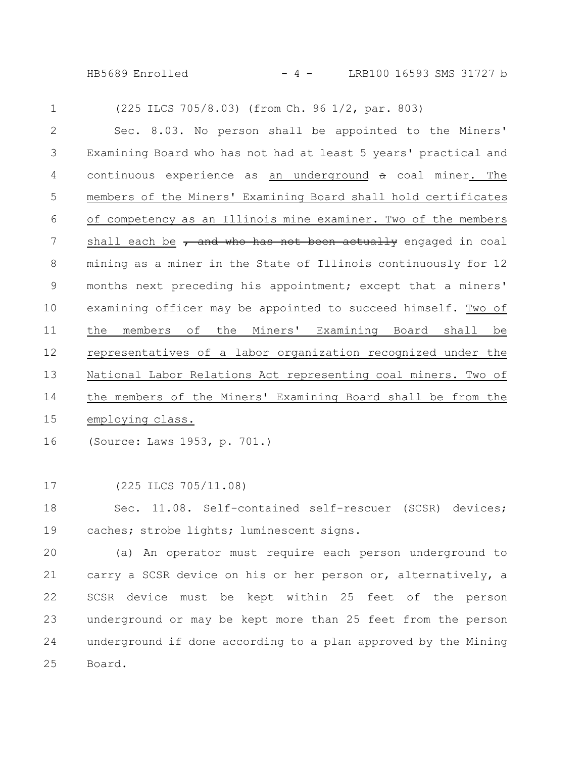HB5689 Enrolled - 4 - LRB100 16593 SMS 31727 b

(225 ILCS 705/8.03) (from Ch. 96 1/2, par. 803) Sec. 8.03. No person shall be appointed to the Miners' Examining Board who has not had at least 5 years' practical and continuous experience as an underground a coal miner. The members of the Miners' Examining Board shall hold certificates of competency as an Illinois mine examiner. Two of the members shall each be  $\tau$  and who has not been actually engaged in coal mining as a miner in the State of Illinois continuously for 12 months next preceding his appointment; except that a miners' examining officer may be appointed to succeed himself. Two of the members of the Miners' Examining Board shall be representatives of a labor organization recognized under the National Labor Relations Act representing coal miners. Two of the members of the Miners' Examining Board shall be from the employing class. 1 2 3 4 5 6 7 8 9 10 11 12 13 14 15

(Source: Laws 1953, p. 701.) 16

(225 ILCS 705/11.08) 17

Sec. 11.08. Self-contained self-rescuer (SCSR) devices; caches; strobe lights; luminescent signs. 18 19

(a) An operator must require each person underground to carry a SCSR device on his or her person or, alternatively, a SCSR device must be kept within 25 feet of the person underground or may be kept more than 25 feet from the person underground if done according to a plan approved by the Mining Board. 20 21 22 23 24 25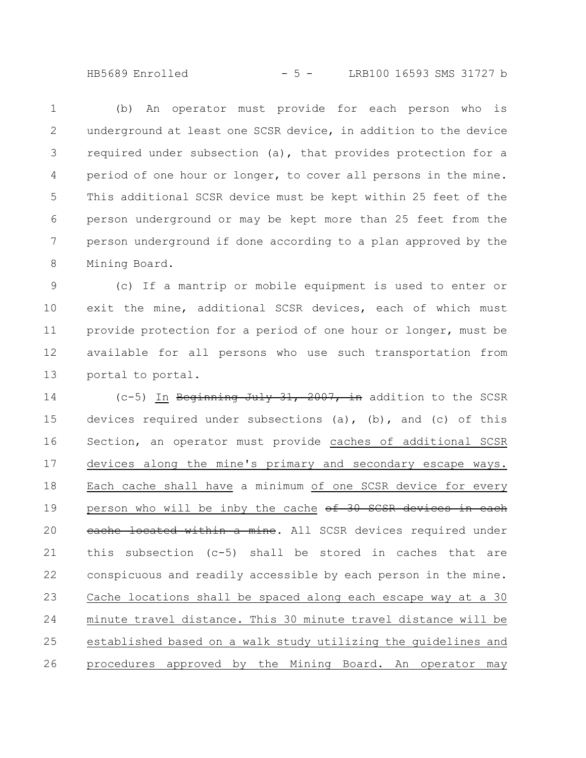HB5689 Enrolled - 5 - LRB100 16593 SMS 31727 b

(b) An operator must provide for each person who is underground at least one SCSR device, in addition to the device required under subsection (a), that provides protection for a period of one hour or longer, to cover all persons in the mine. This additional SCSR device must be kept within 25 feet of the person underground or may be kept more than 25 feet from the person underground if done according to a plan approved by the Mining Board. 1 2 3 4 5 6 7 8

(c) If a mantrip or mobile equipment is used to enter or exit the mine, additional SCSR devices, each of which must provide protection for a period of one hour or longer, must be available for all persons who use such transportation from portal to portal. 9 10 11 12 13

 $(c-5)$  In Beginning July 31, 2007, in addition to the SCSR devices required under subsections (a), (b), and (c) of this Section, an operator must provide caches of additional SCSR devices along the mine's primary and secondary escape ways. Each cache shall have a minimum of one SCSR device for every person who will be inby the cache of 30 SCSR devices in each eache located within a mine. All SCSR devices required under this subsection (c-5) shall be stored in caches that are conspicuous and readily accessible by each person in the mine. Cache locations shall be spaced along each escape way at a 30 minute travel distance. This 30 minute travel distance will be established based on a walk study utilizing the guidelines and procedures approved by the Mining Board. An operator may 14 15 16 17 18 19 20 21 22 23 24 25 26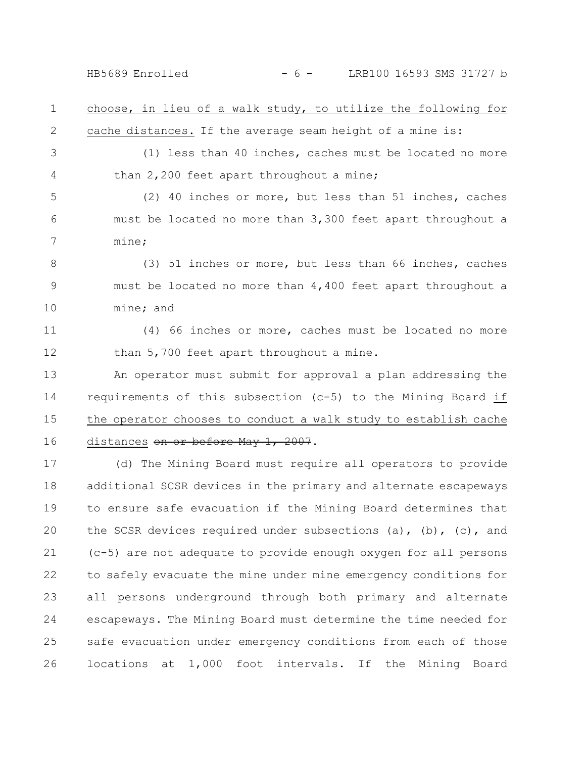HB5689 Enrolled - 6 - LRB100 16593 SMS 31727 b

choose, in lieu of a walk study, to utilize the following for cache distances. If the average seam height of a mine is: 1 2

(1) less than 40 inches, caches must be located no more than 2,200 feet apart throughout a mine; 3 4

(2) 40 inches or more, but less than 51 inches, caches must be located no more than 3,300 feet apart throughout a mine; 5 6 7

(3) 51 inches or more, but less than 66 inches, caches must be located no more than 4,400 feet apart throughout a mine; and 8 9 10

(4) 66 inches or more, caches must be located no more than 5,700 feet apart throughout a mine. 11 12

An operator must submit for approval a plan addressing the requirements of this subsection (c-5) to the Mining Board if the operator chooses to conduct a walk study to establish cache distances on or before May 1, 2007. 13 14 15 16

(d) The Mining Board must require all operators to provide additional SCSR devices in the primary and alternate escapeways to ensure safe evacuation if the Mining Board determines that the SCSR devices required under subsections (a), (b), (c), and (c-5) are not adequate to provide enough oxygen for all persons to safely evacuate the mine under mine emergency conditions for all persons underground through both primary and alternate escapeways. The Mining Board must determine the time needed for safe evacuation under emergency conditions from each of those locations at 1,000 foot intervals. If the Mining Board 17 18 19 20 21 22 23 24 25 26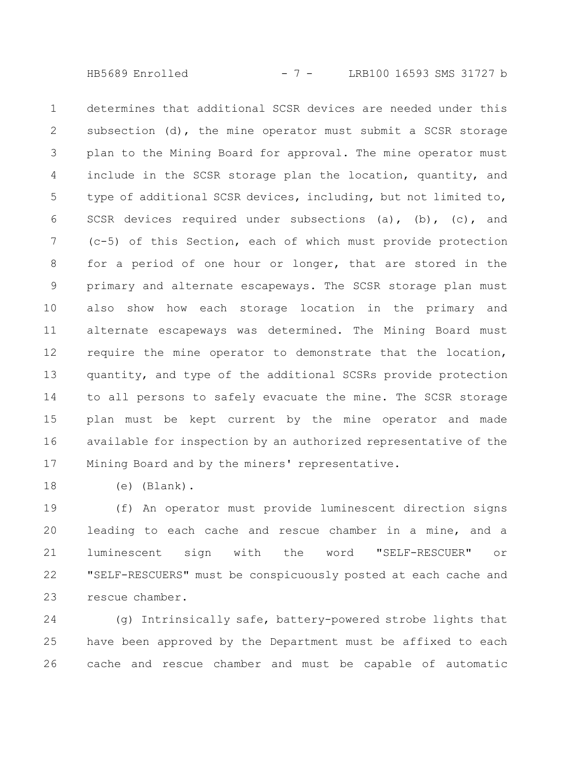HB5689 Enrolled - 7 - LRB100 16593 SMS 31727 b

determines that additional SCSR devices are needed under this subsection (d), the mine operator must submit a SCSR storage plan to the Mining Board for approval. The mine operator must include in the SCSR storage plan the location, quantity, and type of additional SCSR devices, including, but not limited to, SCSR devices required under subsections (a), (b), (c), and (c-5) of this Section, each of which must provide protection for a period of one hour or longer, that are stored in the primary and alternate escapeways. The SCSR storage plan must also show how each storage location in the primary and alternate escapeways was determined. The Mining Board must require the mine operator to demonstrate that the location, quantity, and type of the additional SCSRs provide protection to all persons to safely evacuate the mine. The SCSR storage plan must be kept current by the mine operator and made available for inspection by an authorized representative of the Mining Board and by the miners' representative. 1 2 3 4 5 6 7 8 9 10 11 12 13 14 15 16 17

(e) (Blank). 18

(f) An operator must provide luminescent direction signs leading to each cache and rescue chamber in a mine, and a luminescent sign with the word "SELF-RESCUER" or "SELF-RESCUERS" must be conspicuously posted at each cache and rescue chamber. 19 20 21 22 23

(g) Intrinsically safe, battery-powered strobe lights that have been approved by the Department must be affixed to each cache and rescue chamber and must be capable of automatic 24 25 26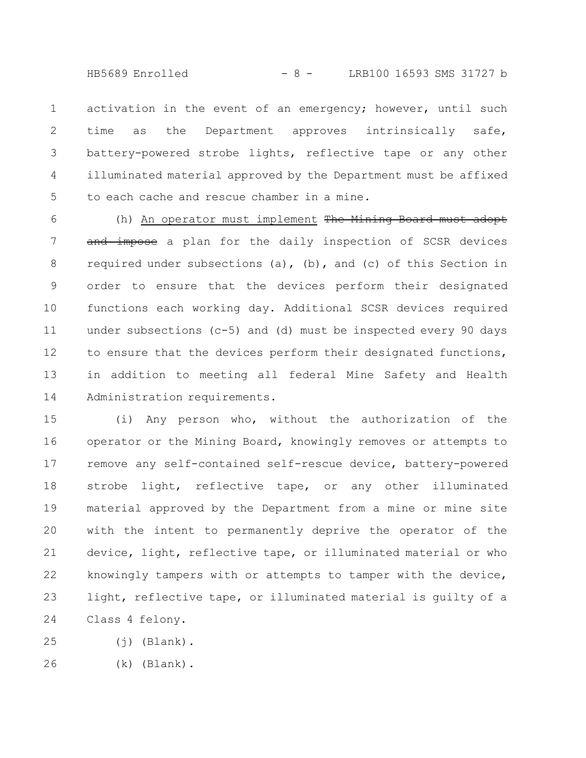HB5689 Enrolled - 8 - LRB100 16593 SMS 31727 b

activation in the event of an emergency; however, until such time as the Department approves intrinsically safe, battery-powered strobe lights, reflective tape or any other illuminated material approved by the Department must be affixed to each cache and rescue chamber in a mine. 1 2 3 4 5

(h) An operator must implement The Mining Board must adopt and impose a plan for the daily inspection of SCSR devices required under subsections (a), (b), and (c) of this Section in order to ensure that the devices perform their designated functions each working day. Additional SCSR devices required under subsections (c-5) and (d) must be inspected every 90 days to ensure that the devices perform their designated functions, in addition to meeting all federal Mine Safety and Health Administration requirements. 6 7 8 9 10 11 12 13 14

(i) Any person who, without the authorization of the operator or the Mining Board, knowingly removes or attempts to remove any self-contained self-rescue device, battery-powered strobe light, reflective tape, or any other illuminated material approved by the Department from a mine or mine site with the intent to permanently deprive the operator of the device, light, reflective tape, or illuminated material or who knowingly tampers with or attempts to tamper with the device, light, reflective tape, or illuminated material is guilty of a Class 4 felony. 15 16 17 18 19 20 21 22 23 24

 $(j)$  (Blank). 25

(k) (Blank). 26